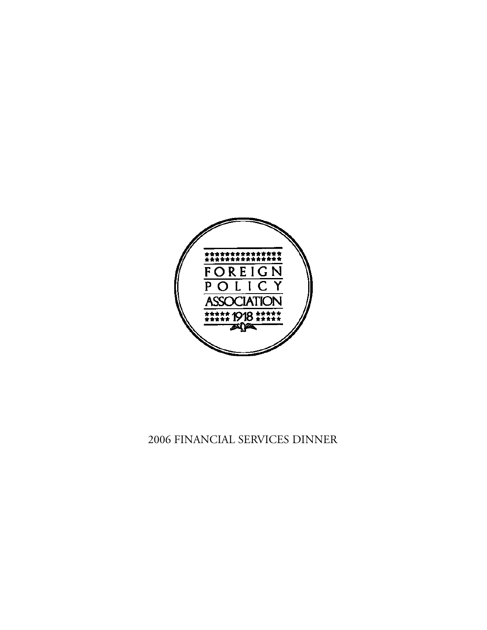

# 2006 FINANCIAL SERVICES DINNER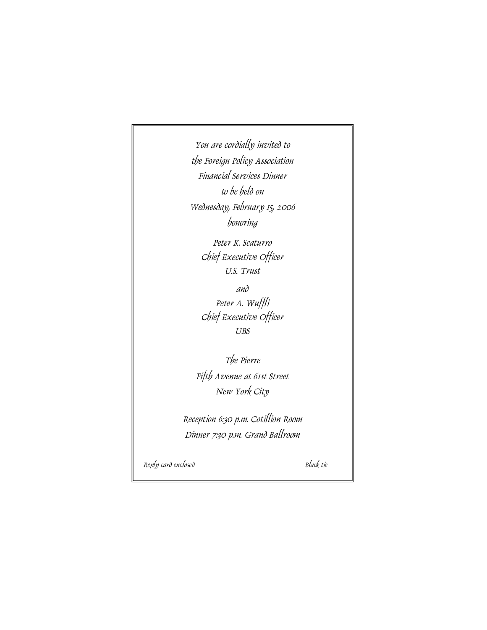*You are cordially invited to the Foreign Policy Association Financial Services Dinner to be held on Wednesday, February 15, 2006 h o n o r i n g*

> *Peter K. Scaturro Chief Executive Officer U.S. Trust*

*a n d Peter A. Wuffli Chief Executive Officer UBS* 

*The Pierre Fifth Avenue at 61st Street New York City*

*Reception 6:30 p.m. Cotillion Room Dinner 7:30 p.m. Grand Ballroom*

*Reply card enclosed Black tie*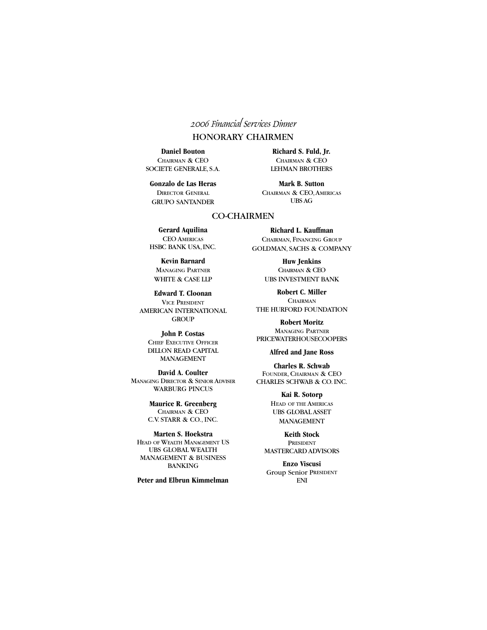### *2006 Financial Services Dinner*

### HONORARY CHAIRMEN

**Daniel Bouton** CHAIRMAN & CEO SOCIETE GENERALE, S.A.

**Gonzalo de Las Heras** DIRECTOR GENERAL GRUPO SANTANDER

**Richard S. Fuld, Jr.** CHAIRMAN & CEO LEHMAN BROTHERS

**Mark B. Sutton** CHAIRMAN & CEO,AMERICAS UBSAG

#### CO-CHAIRMEN

**Gerard Aquilina** CEO AMERICAS HSBC BANK USA, INC.

**Kevin Barnard** MANAGING PARTNER WHITE & CASE LLP

**Edward T. Cloonan** VICE PRESIDENT AMERICAN INTERNATIONAL **GROUP** 

> **John P. Costas** CHIEF EXECUTIVE OFFICER DILLON READ CAPITAL **MANAGEMENT**

**David A. Coulter** MANAGING DIRECTOR & SENIOR ADVISER WARBURG PINCUS

> **Maurice R. Greenberg** CHAIRMAN & CEO C.V. STARR & CO., INC.

**Marten S. Hoekstra** HEAD OF WEALTH MANAGEMENT US UBS GLOBAL WEALTH MANAGEMENT & BUSINESS **BANKING** 

**Peter and Elbrun Kimmelman**

**Richard L. Kauffman** CHAIRMAN, FINANCING GROUP GOLDMAN, SACHS & COMPANY

> **Huw Jenkins** CHAIRMAN & CEO UBS INVESTMENT BANK

**Robert C. Miller CHAIRMAN** THE HURFORD FOUNDATION

**Robert Moritz** MANAGING PARTNER PRICEWATERHOUSECOOPERS

**Alfred and Jane Ross**

**Charles R. Schwab** FOUNDER, CHAIRMAN & CEO CHARLES SCHWAB & CO. INC.

> **Kai R. Sotorp** HEAD OF THE AMERICAS UBS GLOBAL ASSET **MANAGEMENT**

**Keith Stock** PRESIDENT MASTERCARD ADVISORS

**Enzo Viscusi** Group Senior PRESIDENT  $\mathop{\rm ENI}$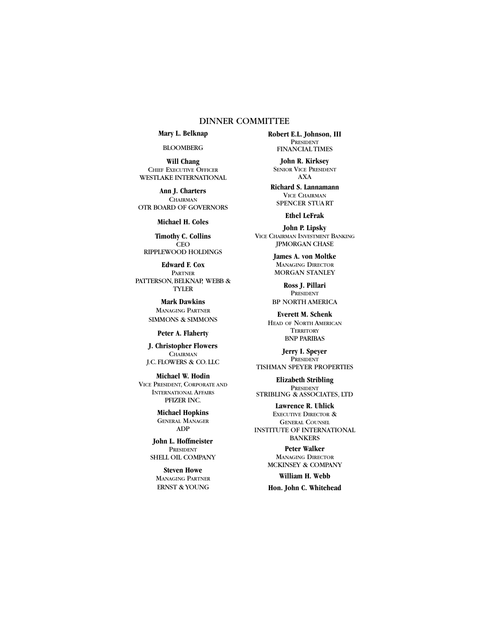#### DINNER COMMITTEE

**Mary L. Belknap**

BLOOMBERG

**Will Chang** CHIEF EXECUTIVE OFFICER WESTLAKE INTERNATIONAL

**Ann J. Charters CHAIRMAN** OTR BOARD OF GOVERNORS

**Michael H. Coles**

**Timothy C. Collins** CEO RIPPLEWOOD HOLDINGS

**Edward F. Cox** PARTNER PATTERSON, BELKNAP, WEBB & TYLER

> **Mark Dawkins** MANAGING PARTNER SIMMONS & SIMMONS

> > **Peter A. Flaherty**

**J. Christopher Flowers CHAIRMAN** J.C. FLOWERS & CO. LLC

**Michael W. Hodin** VICE PRESIDENT, CORPORATE AND INTERNATIONAL AFFAIRS PFIZER INC.

> **Michael Hopkins** GENERAL MANAGER ADP

**John L. Hoffmeister** PRESIDENT SHELL OIL COMPANY

**Steven Howe** MANAGING PARTNER ERNST & YOUNG

**Robert E.L. Johnson, III** PRESIDENT FINANCIAL TIMES

**John R. Kirksey** SENIOR VICE PRESIDENT AXA

**Richard S. Lannamann** VICE CHAIRMAN SPENCER STUA RT

**Ethel LeFrak**

**John P. Lipsky** VICE CHAIRMAN INVESTMENT BANKING JPMORGAN CHASE

> **James A. von Moltke** MANAGING DIRECTOR MORGAN STANLEY

**Ross J. Pillari** PRESIDENT BP NORTH AMERICA

**Everett M. Schenk** HEAD OF NORTH AMERICAN **TERRITORY BNP PARIBAS** 

**Jerry I. Speyer** PRESIDENT TISHMAN SPEYER PROPERTIES

**Elizabeth Stribling** PRESIDENT STRIBLING & ASSOCIATES, LTD

**Lawrence R. Uhlick** EXECUTIVE DIRECTOR & GENERAL COUNSEL INSTITUTE OF INTERNATIONAL BANKERS

> **Peter Walker** MANAGING DIRECTOR MCKINSEY & COMPANY

> **William H. Webb Hon. John C. Whitehead**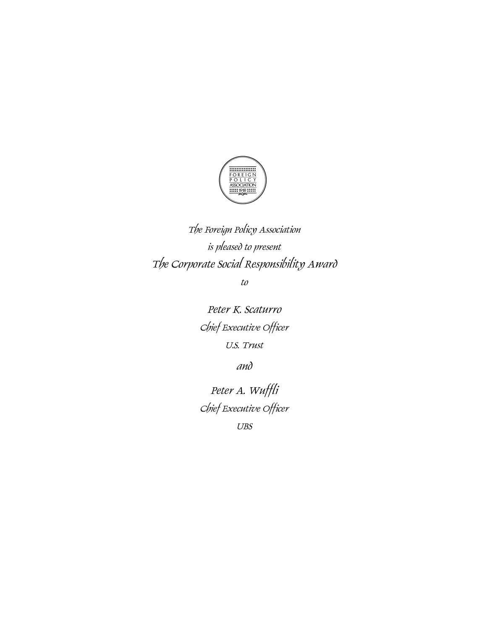

*The Foreign Policy Association is pleased to present The Corporate Social Responsibility Award*

*to*

*Peter K. Scaturro Chief Executive Officer U.S. Trust*

*and*

*Peter A. Wuffli Chief Executive Officer*

*UBS*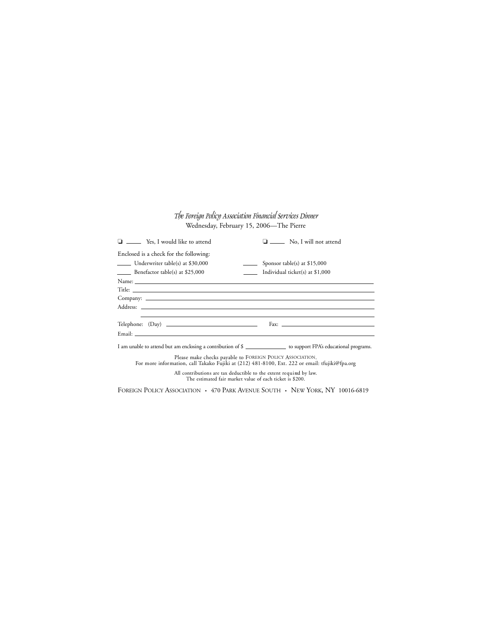#### *The Foreign Policy Association Financial Services Dinner* Wednesday, February 15, 2006—The Pierre

| $\Box$ Yes, I would like to attend                                                                                                                                                                                                  | $\Box$ No, I will not attend                                                     |
|-------------------------------------------------------------------------------------------------------------------------------------------------------------------------------------------------------------------------------------|----------------------------------------------------------------------------------|
| Enclosed is a check for the following:                                                                                                                                                                                              |                                                                                  |
| Underwriter table(s) at \$30,000<br><b>Contract Contract</b>                                                                                                                                                                        | Sponsor table(s) at $$15,000$                                                    |
| $\frac{1}{2}$ Benefactor table(s) at \$25,000                                                                                                                                                                                       | $\frac{1}{1000}$ Individual ticket(s) at \$1,000                                 |
|                                                                                                                                                                                                                                     |                                                                                  |
|                                                                                                                                                                                                                                     |                                                                                  |
|                                                                                                                                                                                                                                     |                                                                                  |
|                                                                                                                                                                                                                                     |                                                                                  |
|                                                                                                                                                                                                                                     | ,我们也不会有什么?""我们的人,我们也不会有什么?""我们的人,我们也不会有什么?""我们的人,我们也不会有什么?""我们的人,我们也不会有什么?""我们的人 |
| $\text{Telephone:} \quad \text{(Day)} \quad \text{________}$                                                                                                                                                                        |                                                                                  |
| Email: <u>Financial</u> Contract of the Contract of the Contract of the Contract of the Contract of the Contract of the Contract of the Contract of the Contract of the Contract of the Contract of the Contract of the Contract of |                                                                                  |
| I am unable to attend but am enclosing a contribution of \$                                                                                                                                                                         |                                                                                  |
| Please make checks payable to FOREIGN POLICY ASSOCIATION.<br>For more information, call Takako Fujiki at (212) 481-8100, Ext. 222 or email: tfujiki@fpa.org                                                                         |                                                                                  |

All contributions are tax deductible to the extent required by law.<br>The estimated fair market value of each ticket is \$200.

FOREIGN POLICY ASSOCIATION • 470 PARK AVENUE SOUTH • NEW YORK, NY 10016-6819